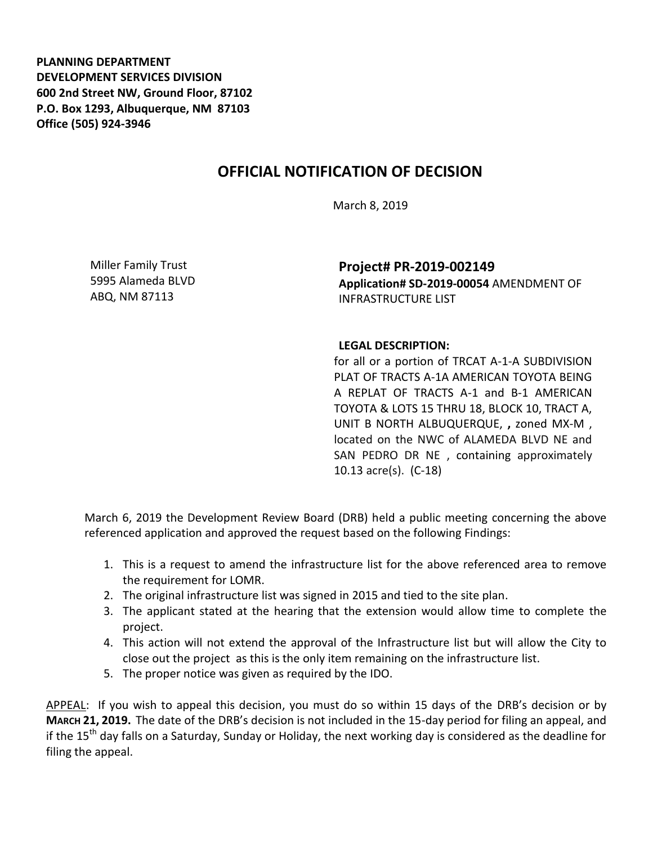**PLANNING DEPARTMENT DEVELOPMENT SERVICES DIVISION 600 2nd Street NW, Ground Floor, 87102 P.O. Box 1293, Albuquerque, NM 87103 Office (505) 924-3946** 

## **OFFICIAL NOTIFICATION OF DECISION**

March 8, 2019

Miller Family Trust 5995 Alameda BLVD ABQ, NM 87113

**Project# PR-2019-002149 Application# SD-2019-00054** AMENDMENT OF INFRASTRUCTURE LIST

## **LEGAL DESCRIPTION:**

for all or a portion of TRCAT A-1-A SUBDIVISION PLAT OF TRACTS A-1A AMERICAN TOYOTA BEING A REPLAT OF TRACTS A-1 and B-1 AMERICAN TOYOTA & LOTS 15 THRU 18, BLOCK 10, TRACT A, UNIT B NORTH ALBUQUERQUE, **,** zoned MX-M , located on the NWC of ALAMEDA BLVD NE and SAN PEDRO DR NE , containing approximately 10.13 acre(s). (C-18)

March 6, 2019 the Development Review Board (DRB) held a public meeting concerning the above referenced application and approved the request based on the following Findings:

- 1. This is a request to amend the infrastructure list for the above referenced area to remove the requirement for LOMR.
- 2. The original infrastructure list was signed in 2015 and tied to the site plan.
- 3. The applicant stated at the hearing that the extension would allow time to complete the project.
- 4. This action will not extend the approval of the Infrastructure list but will allow the City to close out the project as this is the only item remaining on the infrastructure list.
- 5. The proper notice was given as required by the IDO.

APPEAL: If you wish to appeal this decision, you must do so within 15 days of the DRB's decision or by **MARCH 21, 2019.** The date of the DRB's decision is not included in the 15-day period for filing an appeal, and if the 15<sup>th</sup> day falls on a Saturday, Sunday or Holiday, the next working day is considered as the deadline for filing the appeal.